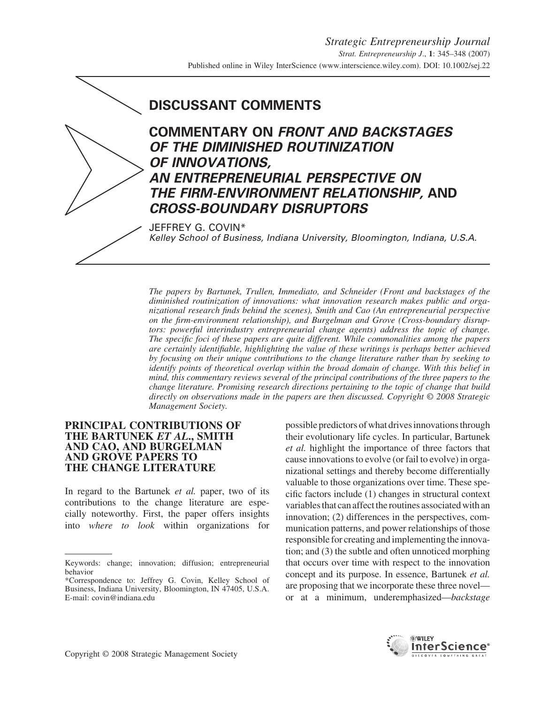

*The papers by Bartunek, Trullen, Immediato, and Schneider (Front and backstages of the diminished routinization of innovations: what innovation research makes public and organizational research finds behind the scenes), Smith and Cao (An entrepreneurial perspective on the firm-environment relationship), and Burgelman and Grove (Cross-boundary disruptors: powerful interindustry entrepreneurial change agents) address the topic of change.*  The specific foci of these papers are quite different. While commonalities among the papers *are certainly identifiable, highlighting the value of these writings is perhaps better achieved by focusing on their unique contributions to the change literature rather than by seeking to identify points of theoretical overlap within the broad domain of change. With this belief in mind, this commentary reviews several of the principal contributions of the three papers to the change literature. Promising research directions pertaining to the topic of change that build directly on observations made in the papers are then discussed. Copyright © 2008 Strategic Management Society.*

## **PRINCIPAL CONTRIBUTIONS OF THE BARTUNEK** *ET AL***., SMITH AND CAO, AND BURGELMAN AND GROVE PAPERS TO THE CHANGE LITERATURE**

In regard to the Bartunek *et al.* paper, two of its contributions to the change literature are especially noteworthy. First, the paper offers insights into *where to look* within organizations for possible predictors of what drives innovations through their evolutionary life cycles. In particular, Bartunek *et al.* highlight the importance of three factors that cause innovations to evolve (or fail to evolve) in organizational settings and thereby become differentially valuable to those organizations over time. These specific factors include (1) changes in structural context variables that can affect the routines associated with an innovation; (2) differences in the perspectives, communication patterns, and power relationships of those responsible for creating and implementing the innovation; and (3) the subtle and often unnoticed morphing that occurs over time with respect to the innovation concept and its purpose. In essence, Bartunek *et al.* are proposing that we incorporate these three novel or at a minimum, underemphasized—*backstage*



Keywords: change; innovation; diffusion; entrepreneurial behavior

<sup>\*</sup>Correspondence to: Jeffrey G. Covin, Kelley School of Business, Indiana University, Bloomington, IN 47405, U.S.A. E-mail: covin@indiana.edu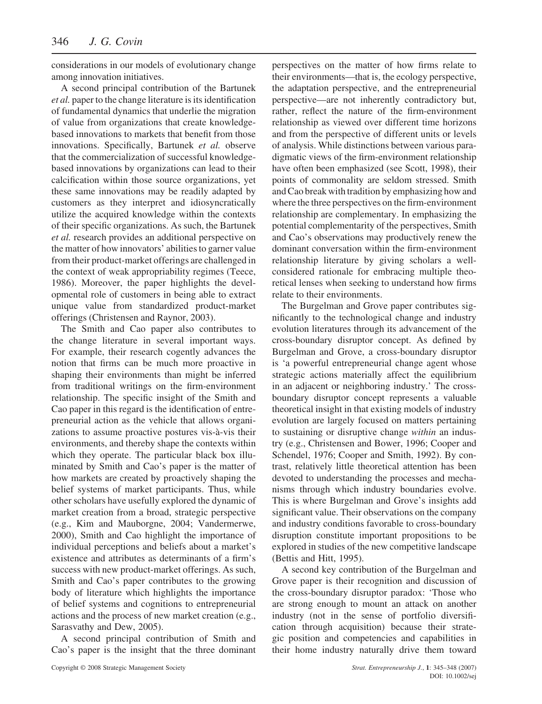considerations in our models of evolutionary change among innovation initiatives.

A second principal contribution of the Bartunek *et al.* paper to the change literature is its identification of fundamental dynamics that underlie the migration of value from organizations that create knowledgebased innovations to markets that benefit from those innovations. Specifically, Bartunek *et al.* observe that the commercialization of successful knowledgebased innovations by organizations can lead to their calcification within those source organizations, yet these same innovations may be readily adapted by customers as they interpret and idiosyncratically utilize the acquired knowledge within the contexts of their specific organizations. As such, the Bartunek *et al.* research provides an additional perspective on the matter of how innovators' abilities to garner value from their product-market offerings are challenged in the context of weak appropriability regimes (Teece, 1986). Moreover, the paper highlights the developmental role of customers in being able to extract unique value from standardized product-market offerings (Christensen and Raynor, 2003).

The Smith and Cao paper also contributes to the change literature in several important ways. For example, their research cogently advances the notion that firms can be much more proactive in shaping their environments than might be inferred from traditional writings on the firm-environment relationship. The specific insight of the Smith and Cao paper in this regard is the identification of entrepreneurial action as the vehicle that allows organizations to assume proactive postures vis-à-vis their environments, and thereby shape the contexts within which they operate. The particular black box illuminated by Smith and Cao's paper is the matter of how markets are created by proactively shaping the belief systems of market participants. Thus, while other scholars have usefully explored the dynamic of market creation from a broad, strategic perspective (e.g., Kim and Mauborgne, 2004; Vandermerwe, 2000), Smith and Cao highlight the importance of individual perceptions and beliefs about a market's existence and attributes as determinants of a firm's success with new product-market offerings. As such, Smith and Cao's paper contributes to the growing body of literature which highlights the importance of belief systems and cognitions to entrepreneurial actions and the process of new market creation (e.g., Sarasvathy and Dew, 2005).

A second principal contribution of Smith and Cao's paper is the insight that the three dominant

perspectives on the matter of how firms relate to their environments—that is, the ecology perspective, the adaptation perspective, and the entrepreneurial perspective—are not inherently contradictory but, rather, reflect the nature of the firm-environment relationship as viewed over different time horizons and from the perspective of different units or levels of analysis. While distinctions between various paradigmatic views of the firm-environment relationship have often been emphasized (see Scott, 1998), their points of commonality are seldom stressed. Smith and Cao break with tradition by emphasizing how and where the three perspectives on the firm-environment relationship are complementary. In emphasizing the potential complementarity of the perspectives, Smith and Cao's observations may productively renew the dominant conversation within the firm-environment relationship literature by giving scholars a wellconsidered rationale for embracing multiple theoretical lenses when seeking to understand how firms relate to their environments.

The Burgelman and Grove paper contributes significantly to the technological change and industry evolution literatures through its advancement of the cross-boundary disruptor concept. As defined by Burgelman and Grove, a cross-boundary disruptor is 'a powerful entrepreneurial change agent whose strategic actions materially affect the equilibrium in an adjacent or neighboring industry.' The crossboundary disruptor concept represents a valuable theoretical insight in that existing models of industry evolution are largely focused on matters pertaining to sustaining or disruptive change *within* an industry (e.g., Christensen and Bower, 1996; Cooper and Schendel, 1976; Cooper and Smith, 1992). By contrast, relatively little theoretical attention has been devoted to understanding the processes and mechanisms through which industry boundaries evolve. This is where Burgelman and Grove's insights add significant value. Their observations on the company and industry conditions favorable to cross-boundary disruption constitute important propositions to be explored in studies of the new competitive landscape (Bettis and Hitt, 1995).

A second key contribution of the Burgelman and Grove paper is their recognition and discussion of the cross-boundary disruptor paradox: 'Those who are strong enough to mount an attack on another industry (not in the sense of portfolio diversification through acquisition) because their strategic position and competencies and capabilities in their home industry naturally drive them toward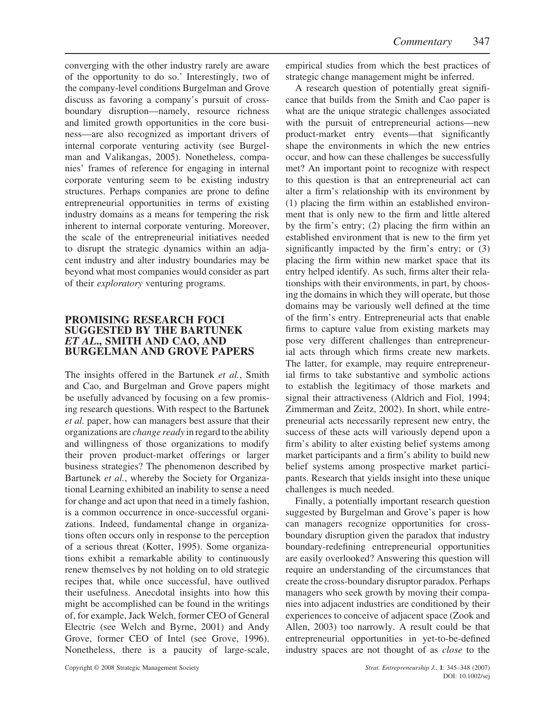converging with the other industry rarely are aware of the opportunity to do so.' Interestingly, two of the company-level conditions Burgelman and Grove discuss as favoring a company's pursuit of crossboundary disruption—namely, resource richness and limited growth opportunities in the core business—are also recognized as important drivers of internal corporate venturing activity (see Burgelman and Valikangas, 2005). Nonetheless, companies' frames of reference for engaging in internal corporate venturing seem to be existing industry structures. Perhaps companies are prone to define entrepreneurial opportunities in terms of existing industry domains as a means for tempering the risk inherent to internal corporate venturing. Moreover, the scale of the entrepreneurial initiatives needed to disrupt the strategic dynamics within an adjacent industry and alter industry boundaries may be beyond what most companies would consider as part of their *exploratory* venturing programs.

## **PROMISING RESEARCH FOCI SUGGESTED BY THE BARTUNEK**  *ET AL***., SMITH AND CAO, AND BURGELMAN AND GROVE PAPERS**

The insights offered in the Bartunek *et al.*, Smith and Cao, and Burgelman and Grove papers might be usefully advanced by focusing on a few promising research questions. With respect to the Bartunek *et al.* paper, how can managers best assure that their organizations are *change ready* in regard to the ability and willingness of those organizations to modify their proven product-market offerings or larger business strategies? The phenomenon described by Bartunek *et al.*, whereby the Society for Organizational Learning exhibited an inability to sense a need for change and act upon that need in a timely fashion, is a common occurrence in once-successful organizations. Indeed, fundamental change in organizations often occurs only in response to the perception of a serious threat (Kotter, 1995). Some organizations exhibit a remarkable ability to continuously renew themselves by not holding on to old strategic recipes that, while once successful, have outlived their usefulness. Anecdotal insights into how this might be accomplished can be found in the writings of, for example, Jack Welch, former CEO of General Electric (see Welch and Byrne, 2001) and Andy Grove, former CEO of Intel (see Grove, 1996). Nonetheless, there is a paucity of large-scale,

empirical studies from which the best practices of strategic change management might be inferred.

A research question of potentially great significance that builds from the Smith and Cao paper is what are the unique strategic challenges associated with the pursuit of entrepreneurial actions—new product-market entry events—that significantly shape the environments in which the new entries occur, and how can these challenges be successfully met? An important point to recognize with respect to this question is that an entrepreneurial act can alter a firm's relationship with its environment by (1) placing the firm within an established environment that is only new to the firm and little altered by the firm's entry; (2) placing the firm within an established environment that is new to the firm yet significantly impacted by the firm's entry; or (3) placing the firm within new market space that its entry helped identify. As such, firms alter their relationships with their environments, in part, by choosing the domains in which they will operate, but those domains may be variously well defined at the time of the firm's entry. Entrepreneurial acts that enable firms to capture value from existing markets may pose very different challenges than entrepreneurial acts through which firms create new markets. The latter, for example, may require entrepreneurial firms to take substantive and symbolic actions to establish the legitimacy of those markets and signal their attractiveness (Aldrich and Fiol, 1994; Zimmerman and Zeitz, 2002). In short, while entrepreneurial acts necessarily represent new entry, the success of these acts will variously depend upon a firm's ability to alter existing belief systems among market participants and a firm's ability to build new belief systems among prospective market participants. Research that yields insight into these unique challenges is much needed.

Finally, a potentially important research question suggested by Burgelman and Grove's paper is how can managers recognize opportunities for crossboundary disruption given the paradox that industry boundary-redefining entrepreneurial opportunities are easily overlooked? Answering this question will require an understanding of the circumstances that create the cross-boundary disruptor paradox. Perhaps managers who seek growth by moving their companies into adjacent industries are conditioned by their experiences to conceive of adjacent space (Zook and Allen, 2003) too narrowly. A result could be that entrepreneurial opportunities in yet-to-be-defined industry spaces are not thought of as *close* to the